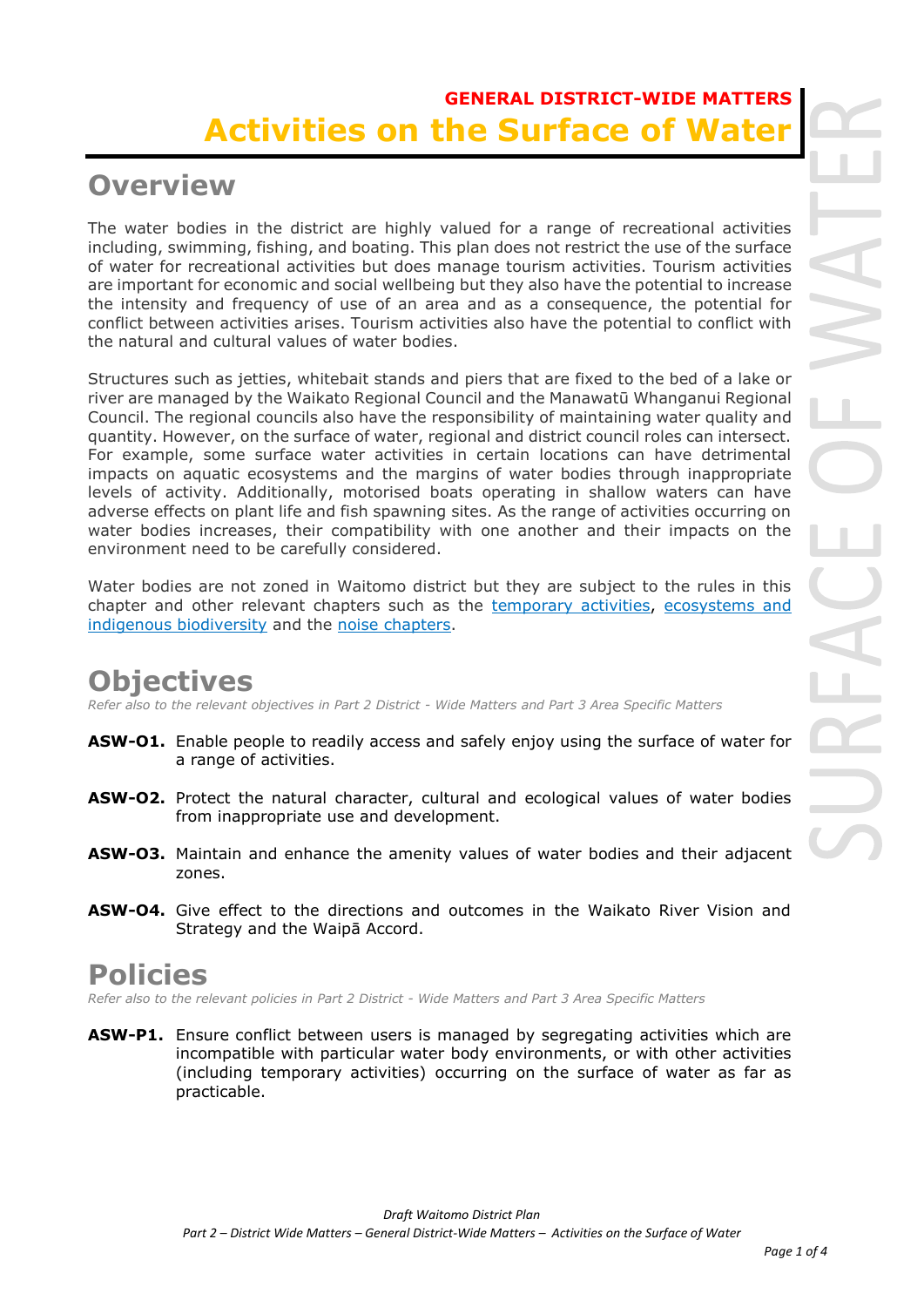### **GENERAL DISTRICT-WIDE MATTERS Activities on the Surface of**

### **Overview**

The water bodies in the district are highly valued for a range of recreational activities including, swimming, fishing, and boating. This plan does not restrict the use of the surface of water for recreational activities but does manage tourism activities. Tourism activities are important for economic and social wellbeing but they also have the potential to increase the intensity and frequency of use of an area and as a consequence, the potential for conflict between activities arises. Tourism activities also have the potential to conflict with the natural and cultural values of water bodies.

Structures such as jetties, whitebait stands and piers that are fixed to the bed of a lake or river are managed by the Waikato Regional Council and the Manawatū Whanganui Regional Council. The regional councils also have the responsibility of maintaining water quality and quantity. However, on the surface of water, regional and district council roles can intersect. For example, some surface water activities in certain locations can have detrimental impacts on aquatic ecosystems and the margins of water bodies through inappropriate levels of activity. Additionally, motorised boats operating in shallow waters can have adverse effects on plant life and fish spawning sites. As the range of activities occurring on water bodies increases, their compatibility with one another and their impacts on the environment need to be carefully considered.

Water bodies are not zoned in Waitomo district but they are subject to the rules in this chapter and other relevant chapters such as the temporary activities, ecosystems and indigenous biodiversity and the noise chapters.

# **Objectives**

*Refer also to the relevant objectives in Part 2 District - Wide Matters and Part 3 Area Specific Matters*

- **ASW-O1.** Enable people to readily access and safely enjoy using the surface of water for a range of activities.
- **ASW-O2.** Protect the natural character, cultural and ecological values of water bodies from inappropriate use and development.
- **ASW-O3.** Maintain and enhance the amenity values of water bodies and their adjacent zones.
- **ASW-O4.** Give effect to the directions and outcomes in the Waikato River Vision and Strategy and the Waipā Accord.

### **Policies**

*Refer also to the relevant policies in Part 2 District - Wide Matters and Part 3 Area Specific Matters*

ASW-P1. Ensure conflict between users is managed by segregating activities which are incompatible with particular water body environments, or with other activities (including temporary activities) occurring on the surface of water as far as practicable.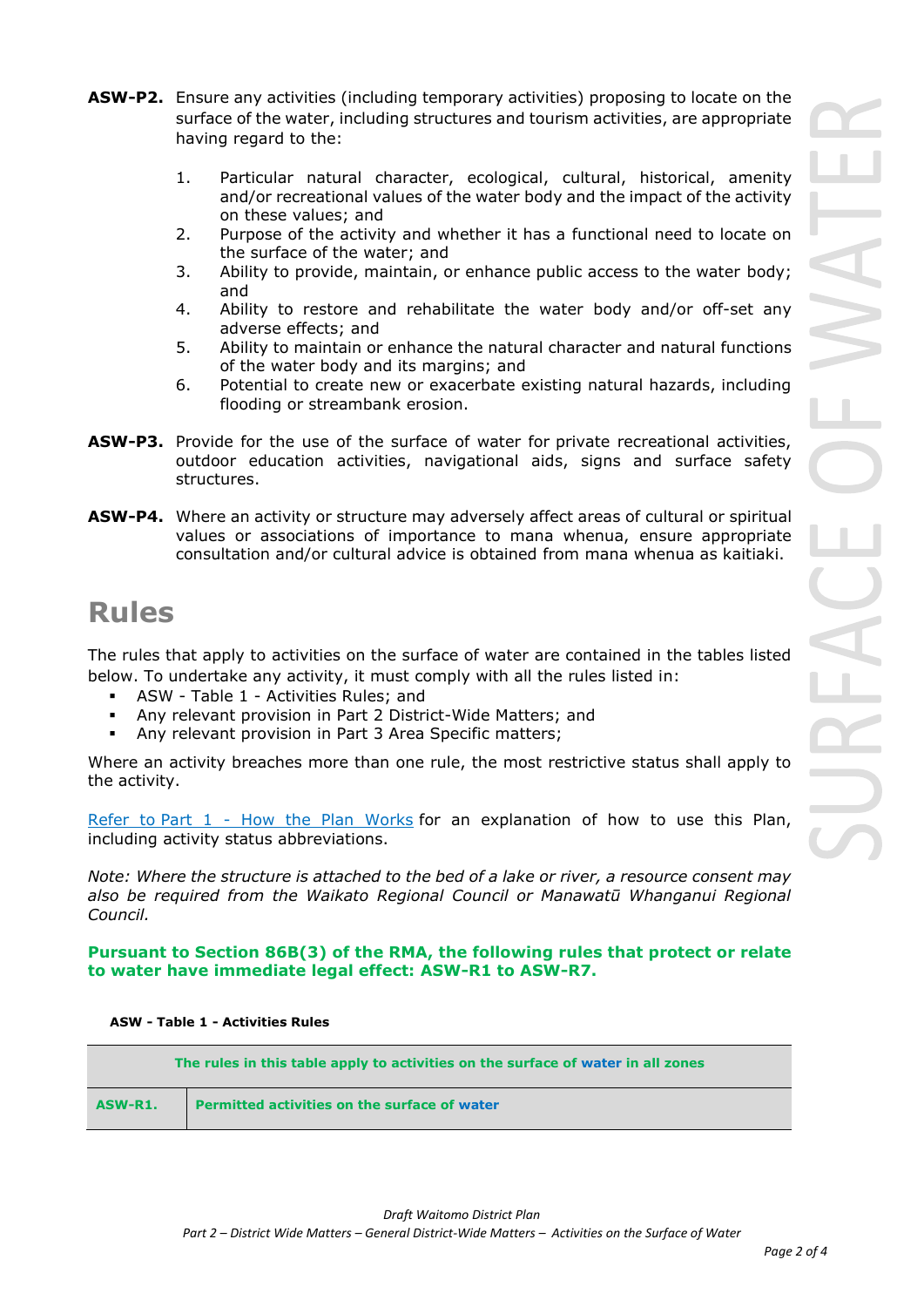- **ASW-P2.** Ensure any activities (including temporary activities) proposing to locate on the surface of the water, including structures and tourism activities, are appropriate having regard to the:
	- 1. Particular natural character, ecological, cultural, historical, amenity and/or recreational values of the water body and the impact of the activity on these values; and
	- 2. Purpose of the activity and whether it has a functional need to locate on the surface of the water; and
	- 3. Ability to provide, maintain, or enhance public access to the water body; and
	- 4. Ability to restore and rehabilitate the water body and/or off-set any adverse effects; and
	- 5. Ability to maintain or enhance the natural character and natural functions of the water body and its margins; and
	- 6. Potential to create new or exacerbate existing natural hazards, including flooding or streambank erosion.
- **ASW-P3.** Provide for the use of the surface of water for private recreational activities, outdoor education activities, navigational aids, signs and surface safety structures.
- **ASW-P4.** Where an activity or structure may adversely affect areas of cultural or spiritual values or associations of importance to mana whenua, ensure appropriate consultation and/or cultural advice is obtained from mana whenua as kaitiaki.

# **Rules**

The rules that apply to activities on the surface of water are contained in the tables listed below. To undertake any activity, it must comply with all the rules listed in:

- ASW Table 1 Activities Rules; and
- Any relevant provision in Part 2 District-Wide Matters; and
- Any relevant provision in Part 3 Area Specific matters;

Where an activity breaches more than one rule, the most restrictive status shall apply to the activity.

Refer to [Part 1](javascript:void(0)) - How the Plan Works for an explanation of how to use this Plan, including activity status abbreviations.

*Note: Where the structure is attached to the bed of a lake or river, a resource consent may also be required from the Waikato Regional Council or Manawatū Whanganui Regional Council.*

### **Pursuant to Section 86B(3) of the RMA, the following rules that protect or relate to water have immediate legal effect: ASW-R1 to ASW-R7.**

#### **ASW - Table 1 - Activities Rules**

|         | The rules in this table apply to activities on the surface of water in all zones |
|---------|----------------------------------------------------------------------------------|
| ASW-R1. | <b>Permitted activities on the surface of water</b>                              |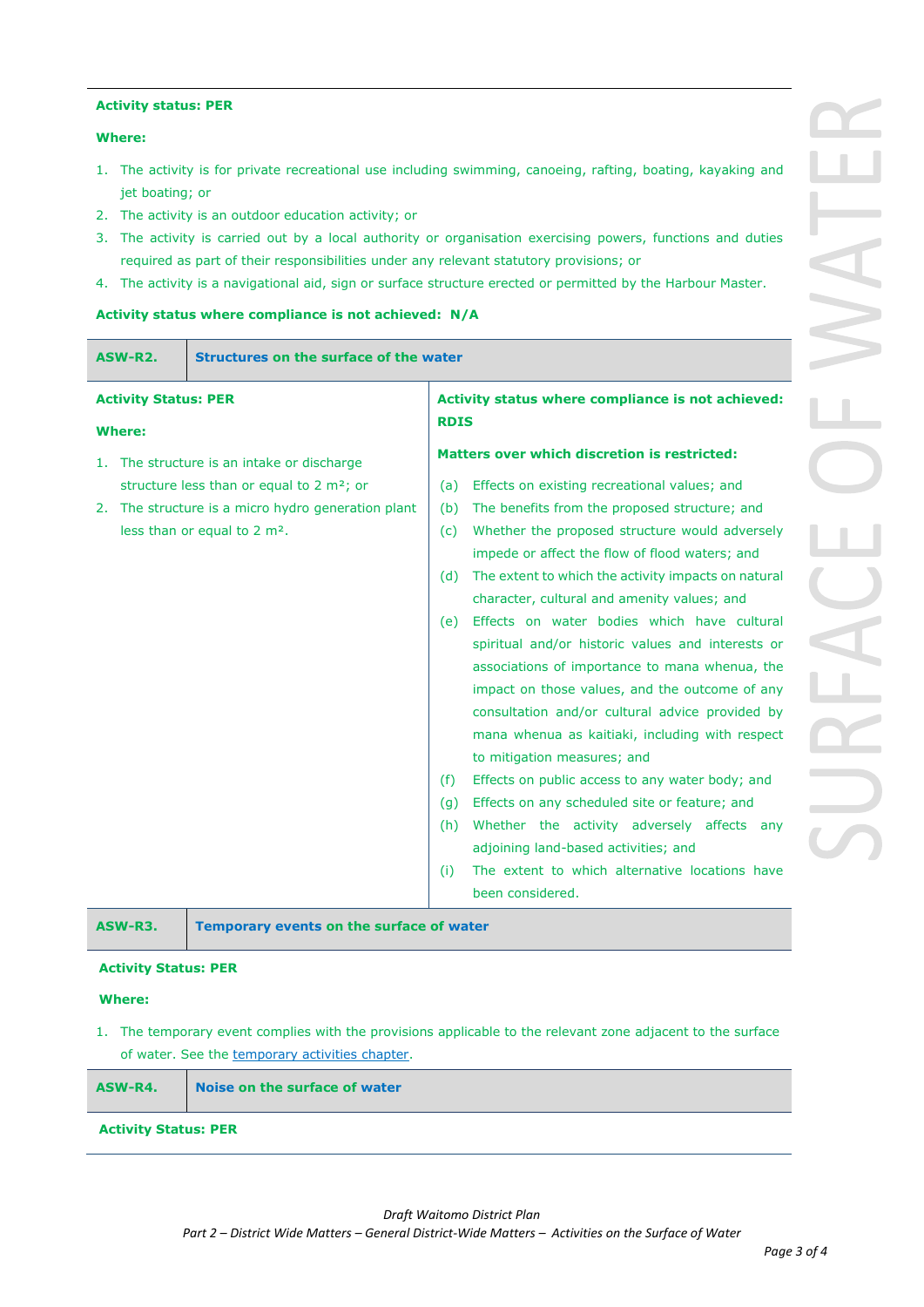#### **Activity status: PER**

#### **Where:**

- 1. The activity is for private recreational use including swimming, canoeing, rafting, boating, kayaking and jet boating; or
- 2. The activity is an outdoor education activity; or
- 3. The activity is carried out by a local authority or organisation exercising powers, functions and duties required as part of their responsibilities under any relevant statutory provisions; or
- 4. The activity is a navigational aid, sign or surface structure erected or permitted by the Harbour Master.

#### **Activity status where compliance is not achieved: N/A**

|                                                                                                                                                            | ASW-R2.       | Structures on the surface of the water                                                          |                                                                                                                                                                                                                                                                                                                                                                                                                                                                                                                                                                                                                       |                                                                                                                                                                                                                                                                                             |
|------------------------------------------------------------------------------------------------------------------------------------------------------------|---------------|-------------------------------------------------------------------------------------------------|-----------------------------------------------------------------------------------------------------------------------------------------------------------------------------------------------------------------------------------------------------------------------------------------------------------------------------------------------------------------------------------------------------------------------------------------------------------------------------------------------------------------------------------------------------------------------------------------------------------------------|---------------------------------------------------------------------------------------------------------------------------------------------------------------------------------------------------------------------------------------------------------------------------------------------|
|                                                                                                                                                            | <b>Where:</b> | <b>Activity Status: PER</b><br>Activity status where compliance is not achieved:<br><b>RDIS</b> |                                                                                                                                                                                                                                                                                                                                                                                                                                                                                                                                                                                                                       |                                                                                                                                                                                                                                                                                             |
| 1.                                                                                                                                                         |               | The structure is an intake or discharge                                                         |                                                                                                                                                                                                                                                                                                                                                                                                                                                                                                                                                                                                                       | Matters over which discretion is restricted:                                                                                                                                                                                                                                                |
| structure less than or equal to 2 m <sup>2</sup> ; or<br>The structure is a micro hydro generation plant<br>2.<br>less than or equal to 2 m <sup>2</sup> . |               | (a)<br>(b)<br>(c)<br>(d)<br>(e)                                                                 | Effects on existing recreational values; and<br>The benefits from the proposed structure; and<br>Whether the proposed structure would adversely<br>impede or affect the flow of flood waters; and<br>The extent to which the activity impacts on natural<br>character, cultural and amenity values; and<br>Effects on water bodies which have cultural<br>spiritual and/or historic values and interests or<br>associations of importance to mana whenua, the<br>impact on those values, and the outcome of any<br>consultation and/or cultural advice provided by<br>mana whenua as kaitiaki, including with respect |                                                                                                                                                                                                                                                                                             |
|                                                                                                                                                            |               |                                                                                                 | (f)<br>(g)<br>(h)<br>(i)                                                                                                                                                                                                                                                                                                                                                                                                                                                                                                                                                                                              | to mitigation measures; and<br>Effects on public access to any water body; and<br>Effects on any scheduled site or feature; and<br>Whether the activity adversely affects any<br>adjoining land-based activities; and<br>The extent to which alternative locations have<br>been considered. |

| ASW-R3.                     | Temporary events on the surface of water |  |  |  |  |
|-----------------------------|------------------------------------------|--|--|--|--|
| <b>Activity Status: PER</b> |                                          |  |  |  |  |

#### **Where:**

1. The temporary event complies with the provisions applicable to the relevant zone adjacent to the surface of water. See the temporary activities chapter.

| ASW-R4.                     | Noise on the surface of water |  |  |  |  |
|-----------------------------|-------------------------------|--|--|--|--|
| <b>Activity Status: PER</b> |                               |  |  |  |  |